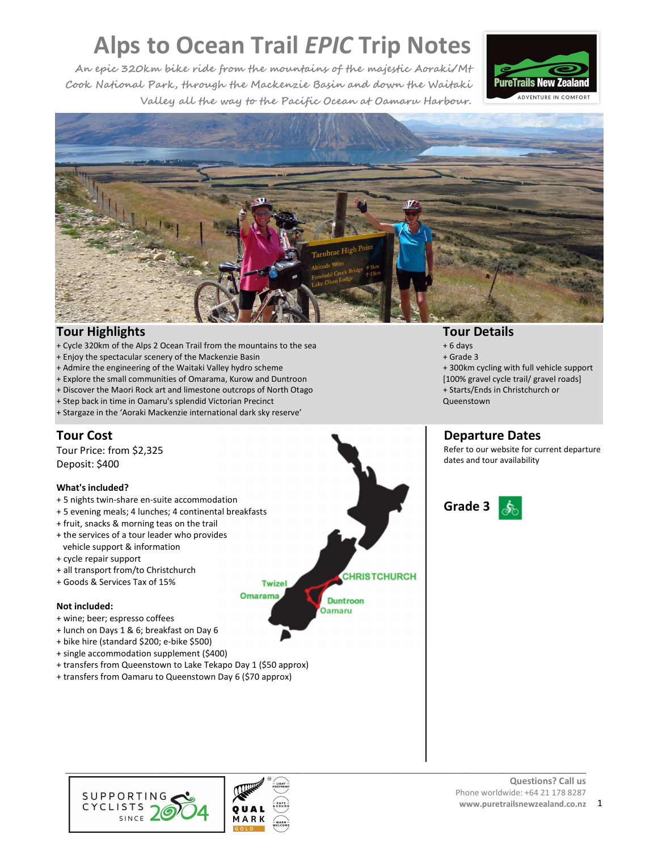**An epic 320km bike ride from the mountains of the majestic Aoraki/Mt Cook National Park, through the Mackenzie Basin and down the Waitaki Valley all the way to the Pacific Ocean at Oamaru Harbour.** 





# **Tour Highlights**

- + Cycle 320km of the Alps 2 Ocean Trail from the mountains to the sea
- + Enjoy the spectacular scenery of the Mackenzie Basin
- + Admire the engineering of the Waitaki Valley hydro scheme
- + Explore the small communities of Omarama, Kurow and Duntroon
- + Discover the Maori Rock art and limestone outcrops of North Otago
- + Step back in time in Oamaru's splendid Victorian Precinct
- + Stargaze in the 'Aoraki Mackenzie international dark sky reserve'

# **Tour Cost**

Tour Price: from \$2,325 Deposit: \$400

#### **What's included?**

- + 5 nights twin-share en-suite accommodation
- + 5 evening meals; 4 lunches; 4 continental breakfasts
- + fruit, snacks & morning teas on the trail
- + the services of a tour leader who provides vehicle support & information
- + cycle repair support
- + all transport from/to Christchurch
- + Goods & Services Tax of 15%

#### **Not included:**

- + wine; beer; espresso coffees
- + lunch on Days 1 & 6; breakfast on Day 6
- + bike hire (standard \$200; e-bike \$500)
- + single accommodation supplement (\$400)
- + transfers from Queenstown to Lake Tekapo Day 1 (\$50 approx)
- + transfers from Oamaru to Queenstown Day 6 (\$70 approx)
- **CHRISTCHURCH Twizel Omarama Duntroon** Oamaru





# **Tour Details**

- + 6 days
- + Grade 3
- + 300km cycling with full vehicle support [100% gravel cycle trail/ gravel roads] + Starts/Ends in Christchurch or Queenstown

# **Departure Dates**

Refer to our website for current departure dates and tour availability

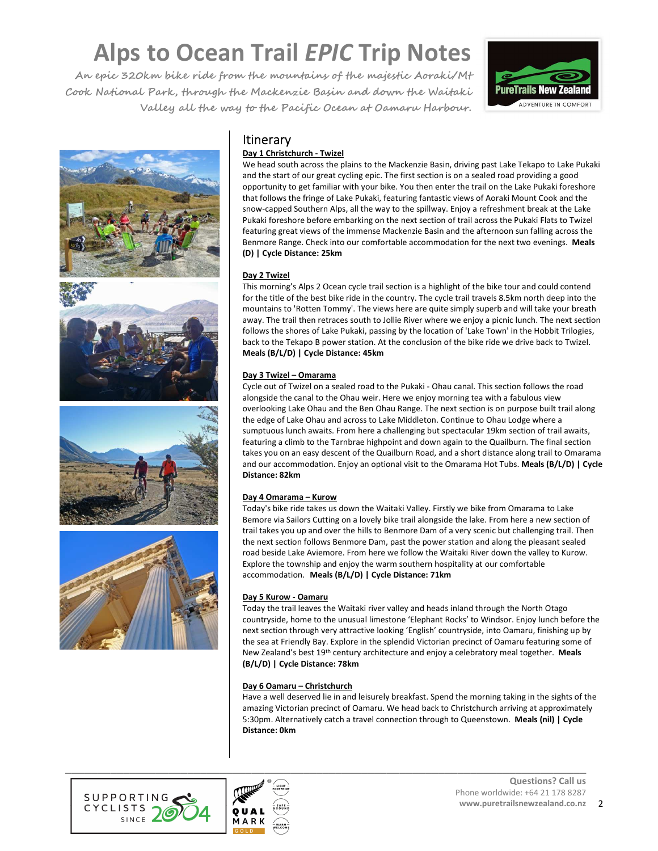**An epic 320km bike ride from the mountains of the majestic Aoraki/Mt Cook National Park, through the Mackenzie Basin and down the Waitaki Valley all the way to the Pacific Ocean at Oamaru Harbour.** 







# **Itinerary**

# **Day 1 Christchurch - Twizel**

We head south across the plains to the Mackenzie Basin, driving past Lake Tekapo to Lake Pukaki and the start of our great cycling epic. The first section is on a sealed road providing a good opportunity to get familiar with your bike. You then enter the trail on the Lake Pukaki foreshore that follows the fringe of Lake Pukaki, featuring fantastic views of Aoraki Mount Cook and the snow-capped Southern Alps, all the way to the spillway. Enjoy a refreshment break at the Lake Pukaki foreshore before embarking on the next section of trail across the Pukaki Flats to Twizel featuring great views of the immense Mackenzie Basin and the afternoon sun falling across the Benmore Range. Check into our comfortable accommodation for the next two evenings. **Meals (D) | Cycle Distance: 25km**

# **Day 2 Twizel**

This morning's Alps 2 Ocean cycle trail section is a highlight of the bike tour and could contend for the title of the best bike ride in the country. The cycle trail travels 8.5km north deep into the mountains to 'Rotten Tommy'. The views here are quite simply superb and will take your breath away. The trail then retraces south to Jollie River where we enjoy a picnic lunch. The next section follows the shores of Lake Pukaki, passing by the location of 'Lake Town' in the Hobbit Trilogies, back to the Tekapo B power station. At the conclusion of the bike ride we drive back to Twizel. **Meals (B/L/D) | Cycle Distance: 45km**

# **Day 3 Twizel – Omarama**

Cycle out of Twizel on a sealed road to the Pukaki - Ohau canal. This section follows the road alongside the canal to the Ohau weir. Here we enjoy morning tea with a fabulous view overlooking Lake Ohau and the Ben Ohau Range. The next section is on purpose built trail along the edge of Lake Ohau and across to Lake Middleton. Continue to Ohau Lodge where a sumptuous lunch awaits. From here a challenging but spectacular 19km section of trail awaits, featuring a climb to the Tarnbrae highpoint and down again to the Quailburn. The final section takes you on an easy descent of the Quailburn Road, and a short distance along trail to Omarama and our accommodation. Enjoy an optional visit to the Omarama Hot Tubs. **Meals (B/L/D) | Cycle Distance: 82km**

# **Day 4 Omarama – Kurow**

Today's bike ride takes us down the Waitaki Valley. Firstly we bike from Omarama to Lake Bemore via Sailors Cutting on a lovely bike trail alongside the lake. From here a new section of trail takes you up and over the hills to Benmore Dam of a very scenic but challenging trail. Then the next section follows Benmore Dam, past the power station and along the pleasant sealed road beside Lake Aviemore. From here we follow the Waitaki River down the valley to Kurow. Explore the township and enjoy the warm southern hospitality at our comfortable accommodation. **Meals (B/L/D) | Cycle Distance: 71km**

# **Day 5 Kurow - Oamaru**

Today the trail leaves the Waitaki river valley and heads inland through the North Otago countryside, home to the unusual limestone 'Elephant Rocks' to Windsor. Enjoy lunch before the next section through very attractive looking 'English' countryside, into Oamaru, finishing up by the sea at Friendly Bay. Explore in the splendid Victorian precinct of Oamaru featuring some of New Zealand's best 19th century architecture and enjoy a celebratory meal together. **Meals (B/L/D) | Cycle Distance: 78km** 

# **Day 6 Oamaru – Christchurch**

Have a well deserved lie in and leisurely breakfast. Spend the morning taking in the sights of the amazing Victorian precinct of Oamaru. We head back to Christchurch arriving at approximately 5:30pm. Alternatively catch a travel connection through to Queenstown. **Meals (nil) | Cycle Distance: 0km** 



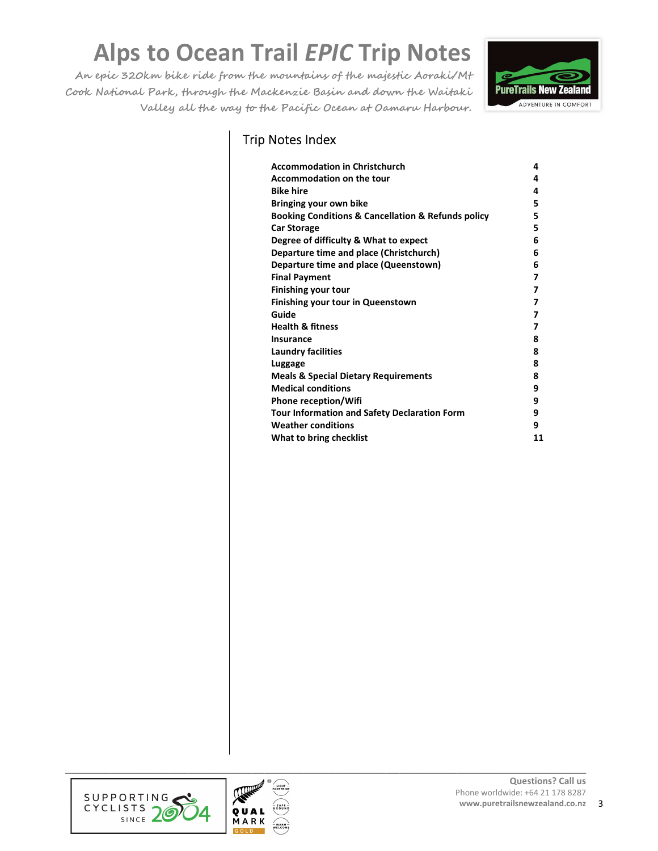**An epic 320km bike ride from the mountains of the majestic Aoraki/Mt Cook National Park, through the Mackenzie Basin and down the Waitaki Valley all the way to the Pacific Ocean at Oamaru Harbour.** 



# Trip Notes Index

| <b>Accommodation in Christchurch</b>                              | 4  |
|-------------------------------------------------------------------|----|
| <b>Accommodation on the tour</b>                                  | 4  |
| <b>Bike hire</b>                                                  | 4  |
| Bringing your own bike                                            | 5  |
| <b>Booking Conditions &amp; Cancellation &amp; Refunds policy</b> | 5  |
| <b>Car Storage</b>                                                | 5  |
| Degree of difficulty & What to expect                             | 6  |
| Departure time and place (Christchurch)                           | 6  |
| Departure time and place (Queenstown)                             | 6  |
| <b>Final Payment</b>                                              | 7  |
| <b>Finishing your tour</b>                                        | 7  |
| <b>Finishing your tour in Queenstown</b>                          | 7  |
| Guide                                                             | 7  |
| <b>Health &amp; fitness</b>                                       | 7  |
| Insurance                                                         | 8  |
| Laundry facilities                                                | 8  |
| Luggage                                                           | 8  |
| <b>Meals &amp; Special Dietary Requirements</b>                   | 8  |
| <b>Medical conditions</b>                                         | 9  |
| Phone reception/Wifi                                              | 9  |
| <b>Tour Information and Safety Declaration Form</b>               | 9  |
| <b>Weather conditions</b>                                         | 9  |
| What to bring checklist                                           | 11 |



**\_\_\_\_\_\_\_\_\_\_\_\_\_\_\_\_\_\_\_\_\_\_\_\_\_\_\_\_\_\_\_\_\_\_\_\_\_\_\_\_\_\_\_\_\_\_\_\_\_\_\_\_\_\_\_\_\_\_\_\_\_\_\_\_\_\_\_\_\_\_\_\_\_\_\_\_\_\_\_\_\_**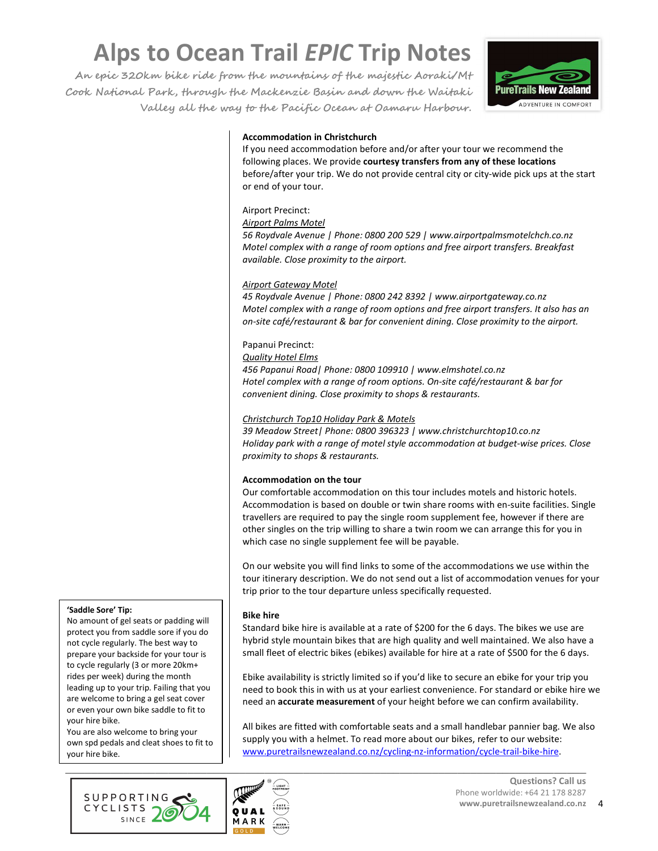**An epic 320km bike ride from the mountains of the majestic Aoraki/Mt Cook National Park, through the Mackenzie Basin and down the Waitaki Valley all the way to the Pacific Ocean at Oamaru Harbour.** 



# **Accommodation in Christchurch**

If you need accommodation before and/or after your tour we recommend the following places. We provide **courtesy transfers from any of these locations** before/after your trip. We do not provide central city or city-wide pick ups at the start or end of your tour.

### Airport Precinct:

#### *Airport Palms Motel*

*56 Roydvale Avenue | Phone: 0800 200 529 | www.airportpalmsmotelchch.co.nz Motel complex with a range of room options and free airport transfers. Breakfast available. Close proximity to the airport.* 

#### *Airport Gateway Motel*

*45 Roydvale Avenue | Phone: 0800 242 8392 | www.airportgateway.co.nz Motel complex with a range of room options and free airport transfers. It also has an on-site café/restaurant & bar for convenient dining. Close proximity to the airport.* 

#### Papanui Precinct:

#### *Quality Hotel Elms*

*456 Papanui Road| Phone: 0800 109910 | www.elmshotel.co.nz Hotel complex with a range of room options. On-site café/restaurant & bar for convenient dining. Close proximity to shops & restaurants.* 

#### *Christchurch Top10 Holiday Park & Motels*

*39 Meadow Street| Phone: 0800 396323 | www.christchurchtop10.co.nz Holiday park with a range of motel style accommodation at budget-wise prices. Close proximity to shops & restaurants.* 

#### **Accommodation on the tour**

Our comfortable accommodation on this tour includes motels and historic hotels. Accommodation is based on double or twin share rooms with en-suite facilities. Single travellers are required to pay the single room supplement fee, however if there are other singles on the trip willing to share a twin room we can arrange this for you in which case no single supplement fee will be payable.

On our website you will find links to some of the accommodations we use within the tour itinerary description. We do not send out a list of accommodation venues for your trip prior to the tour departure unless specifically requested.

#### **Bike hire**

Standard bike hire is available at a rate of \$200 for the 6 days. The bikes we use are hybrid style mountain bikes that are high quality and well maintained. We also have a small fleet of electric bikes (ebikes) available for hire at a rate of \$500 for the 6 days.

Ebike availability is strictly limited so if you'd like to secure an ebike for your trip you need to book this in with us at your earliest convenience. For standard or ebike hire we need an **accurate measurement** of your height before we can confirm availability.

All bikes are fitted with comfortable seats and a small handlebar pannier bag. We also supply you with a helmet. To read more about our bikes, refer to our website: www.puretrailsnewzealand.co.nz/cycling-nz-information/cycle-trail-bike-hire.





#### **'Saddle Sore' Tip:**

No amount of gel seats or padding will protect you from saddle sore if you do not cycle regularly. The best way to prepare your backside for your tour is to cycle regularly (3 or more 20km+ rides per week) during the month leading up to your trip. Failing that you are welcome to bring a gel seat cover or even your own bike saddle to fit to your hire bike.

You are also welcome to bring your own spd pedals and cleat shoes to fit to your hire bike.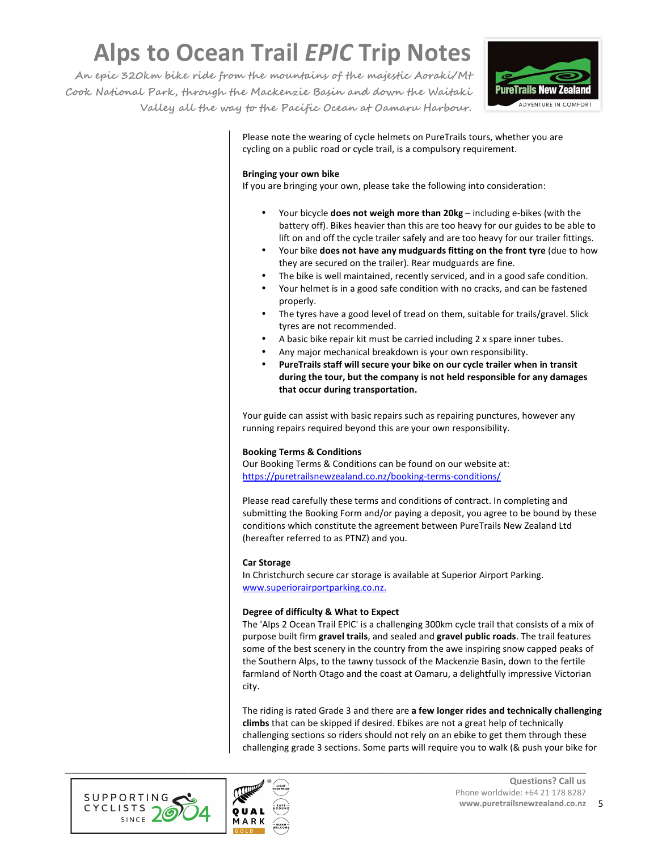**An epic 320km bike ride from the mountains of the majestic Aoraki/Mt Cook National Park, through the Mackenzie Basin and down the Waitaki Valley all the way to the Pacific Ocean at Oamaru Harbour.** 



Please note the wearing of cycle helmets on PureTrails tours, whether you are cycling on a public road or cycle trail, is a compulsory requirement.

### **Bringing your own bike**

If you are bringing your own, please take the following into consideration:

- Your bicycle **does not weigh more than 20kg** including e-bikes (with the battery off). Bikes heavier than this are too heavy for our guides to be able to lift on and off the cycle trailer safely and are too heavy for our trailer fittings.
- Your bike **does not have any mudguards fitting on the front tyre** (due to how they are secured on the trailer). Rear mudguards are fine.
- The bike is well maintained, recently serviced, and in a good safe condition.
- Your helmet is in a good safe condition with no cracks, and can be fastened properly.
- The tyres have a good level of tread on them, suitable for trails/gravel. Slick tyres are not recommended.
- A basic bike repair kit must be carried including 2 x spare inner tubes.
- Any major mechanical breakdown is your own responsibility.
- **PureTrails staff will secure your bike on our cycle trailer when in transit during the tour, but the company is not held responsible for any damages that occur during transportation.**

Your guide can assist with basic repairs such as repairing punctures, however any running repairs required beyond this are your own responsibility.

# **Booking Terms & Conditions**

Our Booking Terms & Conditions can be found on our website at: https://puretrailsnewzealand.co.nz/booking-terms-conditions/

Please read carefully these terms and conditions of contract. In completing and submitting the Booking Form and/or paying a deposit, you agree to be bound by these conditions which constitute the agreement between PureTrails New Zealand Ltd (hereafter referred to as PTNZ) and you.

#### **Car Storage**

In Christchurch secure car storage is available at Superior Airport Parking. www.superiorairportparking.co.nz.

#### **Degree of difficulty & What to Expect**

The 'Alps 2 Ocean Trail EPIC' is a challenging 300km cycle trail that consists of a mix of purpose built firm **gravel trails**, and sealed and **gravel public roads**. The trail features some of the best scenery in the country from the awe inspiring snow capped peaks of the Southern Alps, to the tawny tussock of the Mackenzie Basin, down to the fertile farmland of North Otago and the coast at Oamaru, a delightfully impressive Victorian city.

The riding is rated Grade 3 and there are **a few longer rides and technically challenging climbs** that can be skipped if desired. Ebikes are not a great help of technically challenging sections so riders should not rely on an ebike to get them through these challenging grade 3 sections. Some parts will require you to walk (& push your bike for



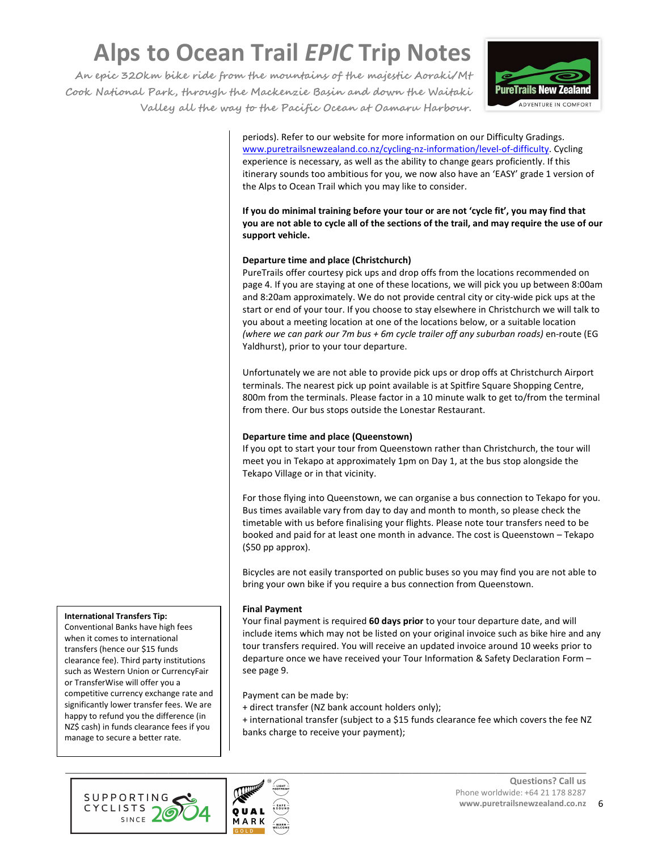**An epic 320km bike ride from the mountains of the majestic Aoraki/Mt Cook National Park, through the Mackenzie Basin and down the Waitaki Valley all the way to the Pacific Ocean at Oamaru Harbour.** 



periods). Refer to our website for more information on our Difficulty Gradings. www.puretrailsnewzealand.co.nz/cycling-nz-information/level-of-difficulty. Cycling experience is necessary, as well as the ability to change gears proficiently. If this itinerary sounds too ambitious for you, we now also have an 'EASY' grade 1 version of the Alps to Ocean Trail which you may like to consider.

**If you do minimal training before your tour or are not 'cycle fit', you may find that you are not able to cycle all of the sections of the trail, and may require the use of our support vehicle.** 

# **Departure time and place (Christchurch)**

PureTrails offer courtesy pick ups and drop offs from the locations recommended on page 4. If you are staying at one of these locations, we will pick you up between 8:00am and 8:20am approximately. We do not provide central city or city-wide pick ups at the start or end of your tour. If you choose to stay elsewhere in Christchurch we will talk to you about a meeting location at one of the locations below, or a suitable location *(where we can park our 7m bus + 6m cycle trailer off any suburban roads)* en-route (EG Yaldhurst), prior to your tour departure.

Unfortunately we are not able to provide pick ups or drop offs at Christchurch Airport terminals. The nearest pick up point available is at Spitfire Square Shopping Centre, 800m from the terminals. Please factor in a 10 minute walk to get to/from the terminal from there. Our bus stops outside the Lonestar Restaurant.

# **Departure time and place (Queenstown)**

If you opt to start your tour from Queenstown rather than Christchurch, the tour will meet you in Tekapo at approximately 1pm on Day 1, at the bus stop alongside the Tekapo Village or in that vicinity.

For those flying into Queenstown, we can organise a bus connection to Tekapo for you. Bus times available vary from day to day and month to month, so please check the timetable with us before finalising your flights. Please note tour transfers need to be booked and paid for at least one month in advance. The cost is Queenstown – Tekapo (\$50 pp approx).

Bicycles are not easily transported on public buses so you may find you are not able to bring your own bike if you require a bus connection from Queenstown.

# **Final Payment**

Your final payment is required **60 days prior** to your tour departure date, and will include items which may not be listed on your original invoice such as bike hire and any tour transfers required. You will receive an updated invoice around 10 weeks prior to departure once we have received your Tour Information & Safety Declaration Form – see page 9.

Payment can be made by:

- + direct transfer (NZ bank account holders only);
- + international transfer (subject to a \$15 funds clearance fee which covers the fee NZ banks charge to receive your payment);





**International Transfers Tip:** 

Conventional Banks have high fees when it comes to international transfers (hence our \$15 funds clearance fee). Third party institutions such as Western Union or CurrencyFair or TransferWise will offer you a competitive currency exchange rate and significantly lower transfer fees. We are happy to refund you the difference (in NZ\$ cash) in funds clearance fees if you manage to secure a better rate.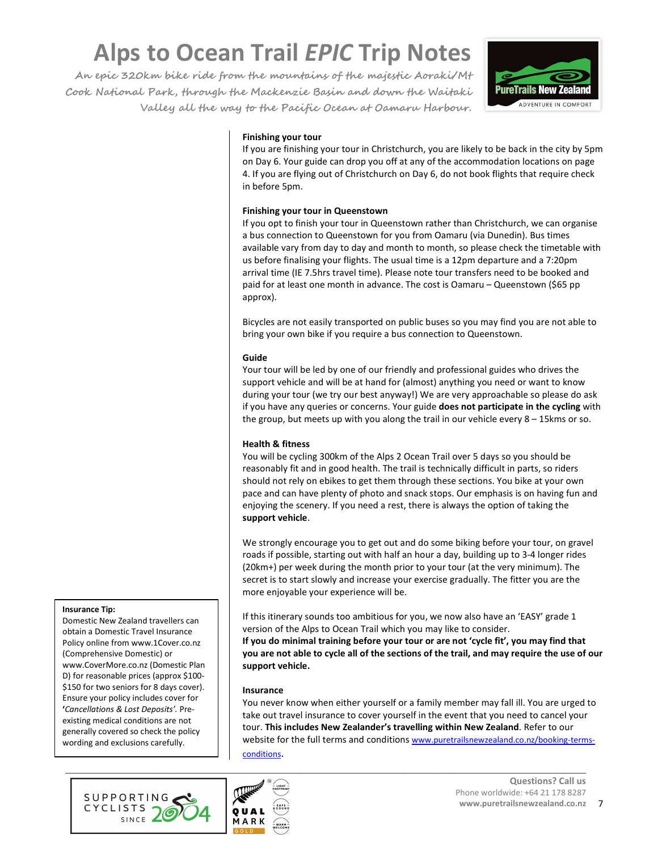**An epic 320km bike ride from the mountains of the majestic Aoraki/Mt Cook National Park, through the Mackenzie Basin and down the Waitaki Valley all the way to the Pacific Ocean at Oamaru Harbour.** 



# **Finishing your tour**

If you are finishing your tour in Christchurch, you are likely to be back in the city by 5pm on Day 6. Your guide can drop you off at any of the accommodation locations on page 4. If you are flying out of Christchurch on Day 6, do not book flights that require check in before 5pm.

### **Finishing your tour in Queenstown**

If you opt to finish your tour in Queenstown rather than Christchurch, we can organise a bus connection to Queenstown for you from Oamaru (via Dunedin). Bus times available vary from day to day and month to month, so please check the timetable with us before finalising your flights. The usual time is a 12pm departure and a 7:20pm arrival time (IE 7.5hrs travel time). Please note tour transfers need to be booked and paid for at least one month in advance. The cost is Oamaru – Queenstown (\$65 pp approx).

Bicycles are not easily transported on public buses so you may find you are not able to bring your own bike if you require a bus connection to Queenstown.

### **Guide**

Your tour will be led by one of our friendly and professional guides who drives the support vehicle and will be at hand for (almost) anything you need or want to know during your tour (we try our best anyway!) We are very approachable so please do ask if you have any queries or concerns. Your guide **does not participate in the cycling** with the group, but meets up with you along the trail in our vehicle every  $8 - 15$ kms or so.

# **Health & fitness**

You will be cycling 300km of the Alps 2 Ocean Trail over 5 days so you should be reasonably fit and in good health. The trail is technically difficult in parts, so riders should not rely on ebikes to get them through these sections. You bike at your own pace and can have plenty of photo and snack stops. Our emphasis is on having fun and enjoying the scenery. If you need a rest, there is always the option of taking the **support vehicle**.

We strongly encourage you to get out and do some biking before your tour, on gravel roads if possible, starting out with half an hour a day, building up to 3-4 longer rides (20km+) per week during the month prior to your tour (at the very minimum). The secret is to start slowly and increase your exercise gradually. The fitter you are the more enjoyable your experience will be.

If this itinerary sounds too ambitious for you, we now also have an 'EASY' grade 1 version of the Alps to Ocean Trail which you may like to consider.

**If you do minimal training before your tour or are not 'cycle fit', you may find that you are not able to cycle all of the sections of the trail, and may require the use of our support vehicle.** 

#### **Insurance**

You never know when either yourself or a family member may fall ill. You are urged to take out travel insurance to cover yourself in the event that you need to cancel your tour. **This includes New Zealander's travelling within New Zealand**. Refer to our website for the full terms and conditions www.puretrailsnewzealand.co.nz/booking-termsconditions.





#### **Insurance Tip:**

Domestic New Zealand travellers can obtain a Domestic Travel Insurance Policy online from www.1Cover.co.nz (Comprehensive Domestic) or www.CoverMore.co.nz (Domestic Plan D) for reasonable prices (approx \$100- \$150 for two seniors for 8 days cover). Ensure your policy includes cover for **'***Cancellations & Lost Deposits'.* Preexisting medical conditions are not generally covered so check the policy wording and exclusions carefully.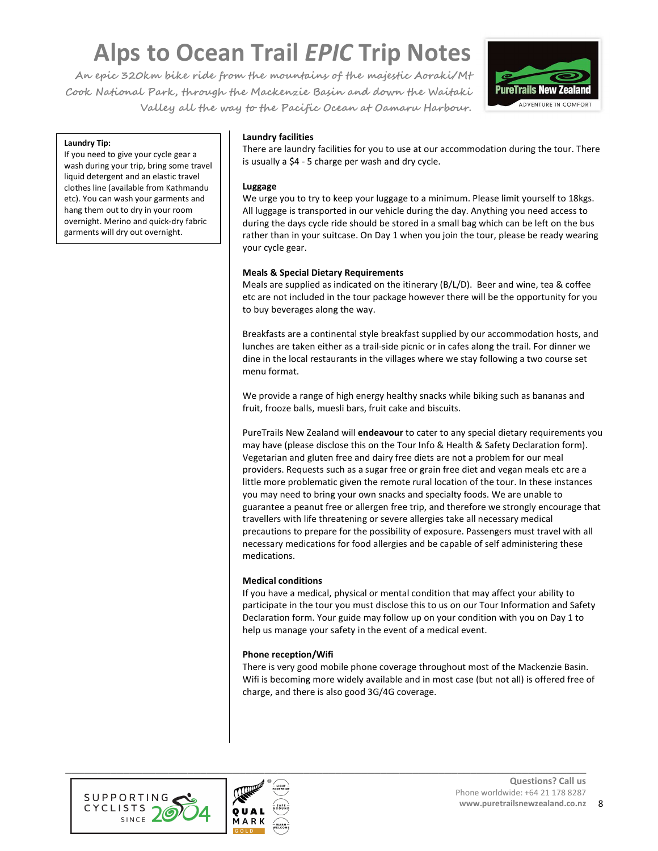**An epic 320km bike ride from the mountains of the majestic Aoraki/Mt Cook National Park, through the Mackenzie Basin and down the Waitaki Valley all the way to the Pacific Ocean at Oamaru Harbour.** 



#### **Laundry Tip:**

If you need to give your cycle gear a wash during your trip, bring some travel liquid detergent and an elastic travel clothes line (available from Kathmandu etc). You can wash your garments and hang them out to dry in your room overnight. Merino and quick-dry fabric garments will dry out overnight.

### **Laundry facilities**

There are laundry facilities for you to use at our accommodation during the tour. There is usually a \$4 - 5 charge per wash and dry cycle.

#### **Luggage**

We urge you to try to keep your luggage to a minimum. Please limit yourself to 18kgs. All luggage is transported in our vehicle during the day. Anything you need access to during the days cycle ride should be stored in a small bag which can be left on the bus rather than in your suitcase. On Day 1 when you join the tour, please be ready wearing your cycle gear.

### **Meals & Special Dietary Requirements**

Meals are supplied as indicated on the itinerary (B/L/D). Beer and wine, tea & coffee etc are not included in the tour package however there will be the opportunity for you to buy beverages along the way.

Breakfasts are a continental style breakfast supplied by our accommodation hosts, and lunches are taken either as a trail-side picnic or in cafes along the trail. For dinner we dine in the local restaurants in the villages where we stay following a two course set menu format.

We provide a range of high energy healthy snacks while biking such as bananas and fruit, frooze balls, muesli bars, fruit cake and biscuits.

PureTrails New Zealand will **endeavour** to cater to any special dietary requirements you may have (please disclose this on the Tour Info & Health & Safety Declaration form). Vegetarian and gluten free and dairy free diets are not a problem for our meal providers. Requests such as a sugar free or grain free diet and vegan meals etc are a little more problematic given the remote rural location of the tour. In these instances you may need to bring your own snacks and specialty foods. We are unable to guarantee a peanut free or allergen free trip, and therefore we strongly encourage that travellers with life threatening or severe allergies take all necessary medical precautions to prepare for the possibility of exposure. Passengers must travel with all necessary medications for food allergies and be capable of self administering these medications.

#### **Medical conditions**

If you have a medical, physical or mental condition that may affect your ability to participate in the tour you must disclose this to us on our Tour Information and Safety Declaration form. Your guide may follow up on your condition with you on Day 1 to help us manage your safety in the event of a medical event.

# **Phone reception/Wifi**

There is very good mobile phone coverage throughout most of the Mackenzie Basin. Wifi is becoming more widely available and in most case (but not all) is offered free of charge, and there is also good 3G/4G coverage.